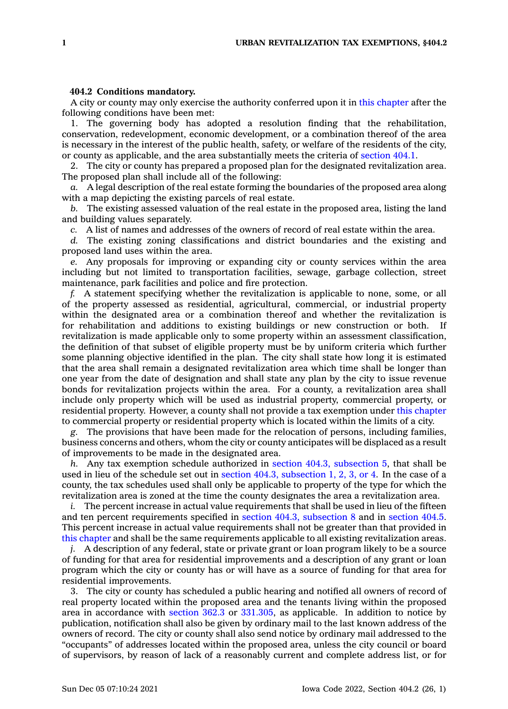A city or county may only exercise the authority conferred upon it in this [chapter](https://www.legis.iowa.gov/docs/code//404.pdf) after the following conditions have been met:

1. The governing body has adopted <sup>a</sup> resolution finding that the rehabilitation, conservation, redevelopment, economic development, or <sup>a</sup> combination thereof of the area is necessary in the interest of the public health, safety, or welfare of the residents of the city, or county as applicable, and the area substantially meets the criteria of [section](https://www.legis.iowa.gov/docs/code/404.1.pdf) 404.1.

2. The city or county has prepared <sup>a</sup> proposed plan for the designated revitalization area. The proposed plan shall include all of the following:

*a.* A legal description of the real estate forming the boundaries of the proposed area along with <sup>a</sup> map depicting the existing parcels of real estate.

*b.* The existing assessed valuation of the real estate in the proposed area, listing the land and building values separately.

*c.* A list of names and addresses of the owners of record of real estate within the area.

*d.* The existing zoning classifications and district boundaries and the existing and proposed land uses within the area.

*e.* Any proposals for improving or expanding city or county services within the area including but not limited to transportation facilities, sewage, garbage collection, street maintenance, park facilities and police and fire protection.

*f.* A statement specifying whether the revitalization is applicable to none, some, or all of the property assessed as residential, agricultural, commercial, or industrial property within the designated area or <sup>a</sup> combination thereof and whether the revitalization is for rehabilitation and additions to existing buildings or new construction or both. If revitalization is made applicable only to some property within an assessment classification, the definition of that subset of eligible property must be by uniform criteria which further some planning objective identified in the plan. The city shall state how long it is estimated that the area shall remain <sup>a</sup> designated revitalization area which time shall be longer than one year from the date of designation and shall state any plan by the city to issue revenue bonds for revitalization projects within the area. For <sup>a</sup> county, <sup>a</sup> revitalization area shall include only property which will be used as industrial property, commercial property, or residential property. However, <sup>a</sup> county shall not provide <sup>a</sup> tax exemption under this [chapter](https://www.legis.iowa.gov/docs/code//404.pdf) to commercial property or residential property which is located within the limits of <sup>a</sup> city.

*g.* The provisions that have been made for the relocation of persons, including families, business concerns and others, whom the city or county anticipates will be displaced as <sup>a</sup> result of improvements to be made in the designated area.

*h.* Any tax exemption schedule authorized in section 404.3, [subsection](https://www.legis.iowa.gov/docs/code/404.3.pdf) 5, that shall be used in lieu of the schedule set out in section 404.3, [subsection](https://www.legis.iowa.gov/docs/code/404.3.pdf) 1, 2, 3, or 4. In the case of <sup>a</sup> county, the tax schedules used shall only be applicable to property of the type for which the revitalization area is zoned at the time the county designates the area <sup>a</sup> revitalization area.

*i.* The percent increase in actual value requirements that shall be used in lieu of the fifteen and ten percent requirements specified in section 404.3, [subsection](https://www.legis.iowa.gov/docs/code/404.3.pdf) 8 and in [section](https://www.legis.iowa.gov/docs/code/404.5.pdf) 404.5. This percent increase in actual value requirements shall not be greater than that provided in this [chapter](https://www.legis.iowa.gov/docs/code//404.pdf) and shall be the same requirements applicable to all existing revitalization areas.

*j.* A description of any federal, state or private grant or loan program likely to be <sup>a</sup> source of funding for that area for residential improvements and <sup>a</sup> description of any grant or loan program which the city or county has or will have as <sup>a</sup> source of funding for that area for residential improvements.

3. The city or county has scheduled <sup>a</sup> public hearing and notified all owners of record of real property located within the proposed area and the tenants living within the proposed area in accordance with [section](https://www.legis.iowa.gov/docs/code/362.3.pdf) 362.3 or [331.305](https://www.legis.iowa.gov/docs/code/331.305.pdf), as applicable. In addition to notice by publication, notification shall also be given by ordinary mail to the last known address of the owners of record. The city or county shall also send notice by ordinary mail addressed to the "occupants" of addresses located within the proposed area, unless the city council or board of supervisors, by reason of lack of <sup>a</sup> reasonably current and complete address list, or for